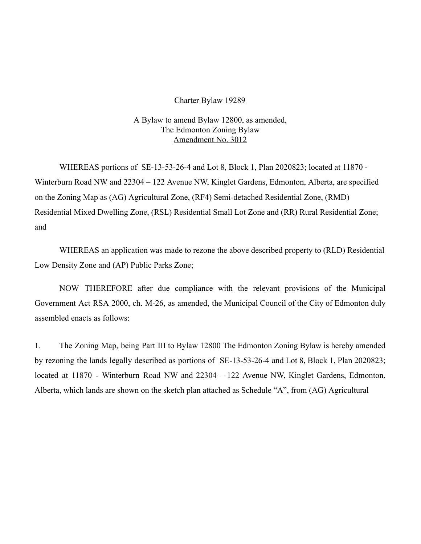## Charter Bylaw 19289

## A Bylaw to amend Bylaw 12800, as amended, The Edmonton Zoning Bylaw Amendment No. 3012

WHEREAS portions of SE-13-53-26-4 and Lot 8, Block 1, Plan 2020823; located at 11870 - Winterburn Road NW and 22304 – 122 Avenue NW, Kinglet Gardens, Edmonton, Alberta, are specified on the Zoning Map as (AG) Agricultural Zone, (RF4) Semi-detached Residential Zone, (RMD) Residential Mixed Dwelling Zone, (RSL) Residential Small Lot Zone and (RR) Rural Residential Zone; and

WHEREAS an application was made to rezone the above described property to (RLD) Residential Low Density Zone and (AP) Public Parks Zone;

NOW THEREFORE after due compliance with the relevant provisions of the Municipal Government Act RSA 2000, ch. M-26, as amended, the Municipal Council of the City of Edmonton duly assembled enacts as follows:

1. The Zoning Map, being Part III to Bylaw 12800 The Edmonton Zoning Bylaw is hereby amended by rezoning the lands legally described as portions of SE-13-53-26-4 and Lot 8, Block 1, Plan 2020823; located at 11870 - Winterburn Road NW and 22304 – 122 Avenue NW, Kinglet Gardens, Edmonton, Alberta, which lands are shown on the sketch plan attached as Schedule "A", from (AG) Agricultural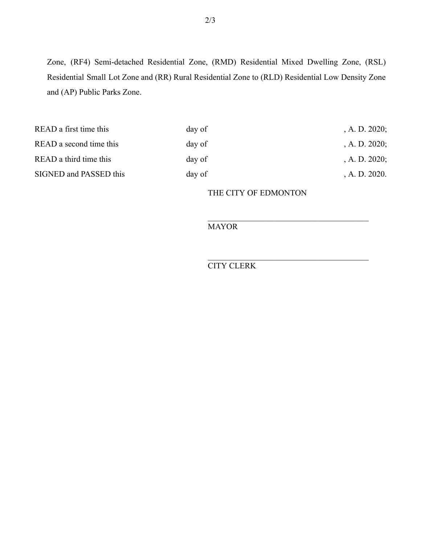Zone, (RF4) Semi-detached Residential Zone, (RMD) Residential Mixed Dwelling Zone, (RSL) Residential Small Lot Zone and (RR) Rural Residential Zone to (RLD) Residential Low Density Zone and (AP) Public Parks Zone.

| day of | , A. D. $2020$ ; |
|--------|------------------|
| day of | , A. D. $2020$ ; |
| day of | , A. D. $2020$ ; |
| day of | A. D. 2020.      |
|        |                  |

THE CITY OF EDMONTON

**MAYOR** 

CITY CLERK